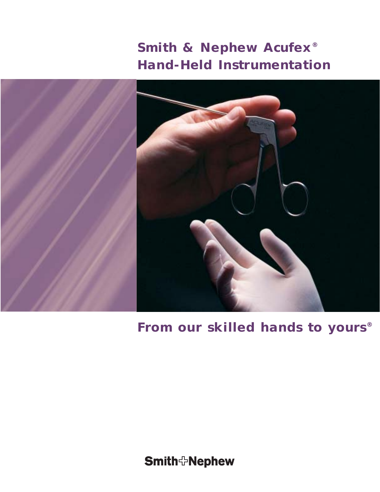

# **Smith & Nephew Acufex® Hand-Held Instrumentation**

**From our skilled hands to yours®**

**Smith**<sup>+</sup>Nephew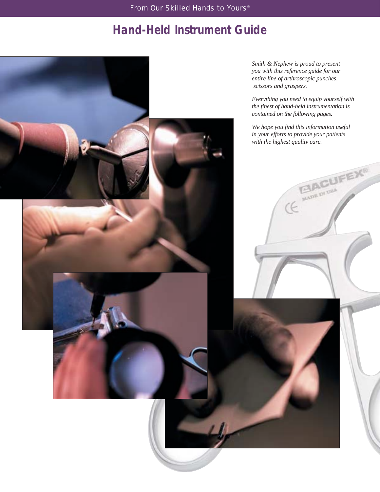# **Hand-Held Instrument Guide**

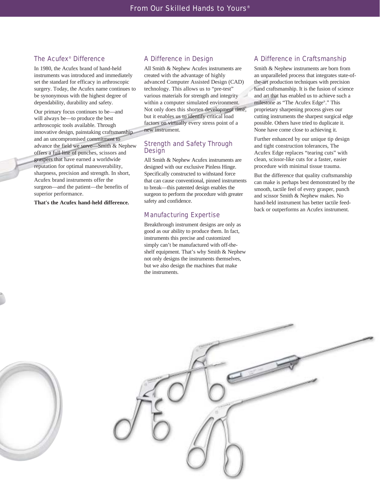### The Acufex® Difference

In 1980, the Acufex brand of hand-held instruments was introduced and immediately set the standard for efficacy in arthroscopic surgery. Today, the Acufex name continues to be synonymous with the highest degree of dependability, durability and safety.

Our primary focus continues to be—and will always be—to produce the best arthroscopic tools available. Through innovative design, painstaking craftsmanship and an uncompromised commitment to advance the field we serve—Smith & Nephew offers a full line of punches, scissors and graspers that have earned a worldwide reputation for optimal maneuverability, sharpness, precision and strength. In short, Acufex brand instruments offer the surgeon—and the patient—the benefits of superior performance.

**That's the Acufex hand-held difference.**

#### A Difference in Design

All Smith & Nephew Acufex instruments are created with the advantage of highly advanced Computer Assisted Design (CAD) technology. This allows us to "pre-test" various materials for strength and integrity within a computer simulated environment. Not only does this shorten development time, but it enables us to identify critical load factors on virtually every stress point of a new instrument.

### Strength and Safety Through Design

All Smith & Nephew Acufex instruments are designed with our exclusive Pinless Hinge. Specifically constructed to withstand force that can cause conventional, pinned instruments to break—this patented design enables the surgeon to perform the procedure with greater safety and confidence.

### Manufacturing Expertise

Breakthrough instrument designs are only as good as our ability to produce them. In fact, instruments this precise and customized simply can't be manufactured with off-theshelf equipment. That's why Smith & Nephew not only designs the instruments themselves, but we also design the machines that make the instruments.

### A Difference in Craftsmanship

Smith & Nephew instruments are born from an unparalleled process that integrates state-ofthe-art production techniques with precision hand craftsmanship. It is the fusion of science and art that has enabled us to achieve such a milestone as "The Acufex Edge®." This proprietary sharpening process gives our cutting instruments the sharpest surgical edge possible. Others have tried to duplicate it. None have come close to achieving it.

Further enhanced by our unique tip design and tight construction tolerances, The Acufex Edge replaces "tearing cuts" with clean, scissor-like cuts for a faster, easier procedure with minimal tissue trauma.

But the difference that quality craftsmanship can make is perhaps best demonstrated by the smooth, tactile feel of every grasper, punch and scissor Smith & Nephew makes. No hand-held instrument has better tactile feedback or outperforms an Acufex instrument.



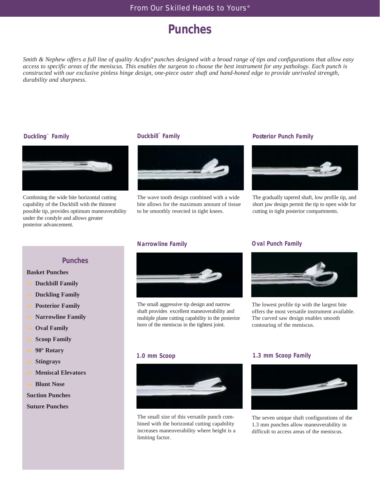# **Punches**

*Smith & Nephew offers a full line of quality Acufex® punches designed with a broad range of tips and configurations that allow easy access to specific areas of the meniscus. This enables the surgeon to choose the best instrument for any pathology. Each punch is constructed with our exclusive pinless hinge design, one-piece outer shaft and hand-honed edge to provide unrivaled strength, durability and sharpness.*

### **Duckling™ Family**



Combining the wide bite horizontal cutting capability of the Duckbill with the thinnest possible tip, provides optimum maneuverability under the condyle and allows greater posterior advancement.

### **Duckbill™ Family**



The wave tooth design combined with a wide bite allows for the maximum amount of tissue to be smoothly resected in tight knees.

#### **Posterior Punch Family**



The gradually tapered shaft, low profile tip, and short jaw design permit the tip to open wide for cutting in tight posterior compartments.

#### **Narrowline Family**



The small aggressive tip design and narrow shaft provides excellent maneuverability and multiple plane cutting capability in the posterior horn of the meniscus in the tightest joint.

### **Oval Punch Family**



The lowest profile tip with the largest bite offers the most versatile instrument available. The curved saw design enables smooth contouring of the meniscus.

#### **1.0 mm Scoop**



The small size of this versatile punch combined with the horizontal cutting capability increases maneuverability where height is a limiting factor.

#### **1.3 mm Scoop Family**



The seven unique shaft configurations of the 1.3 mm punches allow maneuverability in difficult to access areas of the meniscus.

### **Punches**

#### **Basket Punches**

- **Duckbill Family**
- **Duckling Family**
- **Posterior Family**
- **Narrowline Family**
- **Oval Family**
- **Scoop Family**
- **90º Rotary**
- **Stingrays**
- **Meniscal Elevators**
- **Blunt Nose**

#### **Suction Punches**

**Suture Punches**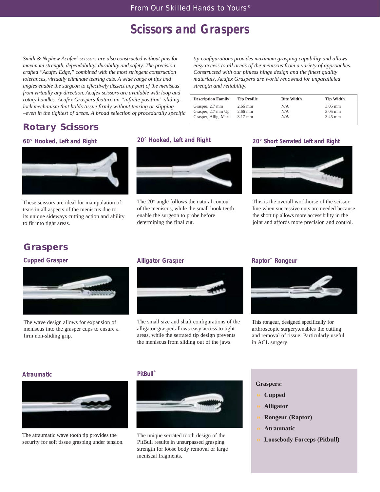# **Scissors and Graspers**

*Smith & Nephew Acufex® scissors are also constructed without pins for maximum strength, dependability, durability and safety. The precision crafted "Acufex Edge," combined with the most stringent construction tolerances, virtually eliminate tearing cuts. A wide range of tips and angles enable the surgeon to effectively dissect any part of the meniscus from virtually any direction. Acufex scissors are available with loop and rotary handles. Acufex Graspers feature an "infinite position" slidinglock mechanism that holds tissue firmly without tearing or slipping –even in the tightest of areas. A broad selection of procedurally specific*

*tip configurations provides maximum grasping capability and allows easy access to all areas of the meniscus from a variety of approaches. Constructed with our pinless hinge design and the finest quality materials, Acufex Graspers are world renowned for unparalleled strength and reliability.*

| <b>Description Family</b> | <b>Tip Profile</b> | <b>Bite Width</b> | <b>Tip Width</b> |
|---------------------------|--------------------|-------------------|------------------|
| Grasper, 2.7 mm           | $2.66$ mm          | N/A               | $3.05$ mm        |
| Grasper, 2.7 mm Up        | $2.66$ mm          | N/A               | $3.05$ mm        |
| Grasper, Allig. Max       | $3.17$ mm          | N/A               | $3.45$ mm        |
|                           |                    |                   |                  |

## **Rotary Scissors**

#### **60° Hooked, Left and Right**



These scissors are ideal for manipulation of tears in all aspects of the meniscus due to its unique sideways cutting action and ability to fit into tight areas.

### **20° Hooked, Left and Right**



The 20° angle follows the natural contour of the meniscus, while the small hook teeth enable the surgeon to probe before determining the final cut.

#### **20° Short Serrated Left and Right**



This is the overall workhorse of the scissor line when successive cuts are needed because the short tip allows more accessibility in the joint and affords more precision and control.

## **Graspers**

#### **Cupped Grasper**



The wave design allows for expansion of meniscus into the grasper cups to ensure a firm non-sliding grip.

#### **Alligator Grasper**



The small size and shaft configurations of the alligator grasper allows easy access to tight areas, while the serrated tip design prevents the meniscus from sliding out of the jaws.

#### **Raptor™ Rongeur**



This rongeur, designed specifically for arthroscopic surgery,enables the cutting and removal of tissue. Particularly useful in ACL surgery.

#### **Atraumatic**



The atraumatic wave tooth tip provides the security for soft tissue grasping under tension.

#### **PitBull®**



The unique serrated tooth design of the PitBull results in unsurpassed grasping strength for loose body removal or large meniscal fragments.

#### **Graspers:**

- **Cupped**
- **Alligator**
- **Rongeur (Raptor)**
- **Atraumatic**
- **Loosebody Forceps (Pitbull)**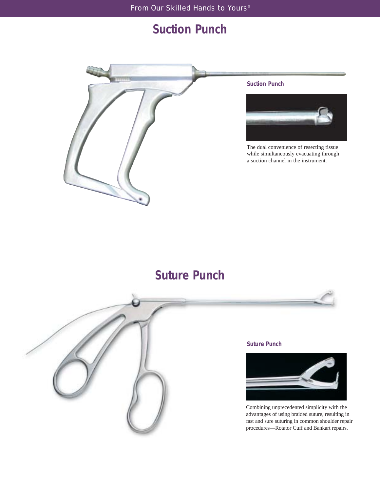# **Suction Punch**



#### **Suction Punch**



The dual convenience of resecting tissue while simultaneously evacuating through a suction channel in the instrument.

# **Suture Punch**



#### **Suture Punch**



Combining unprecedented simplicity with the advantages of using braided suture, resulting in fast and sure suturing in common shoulder repair procedures—Rotator Cuff and Bankart repairs.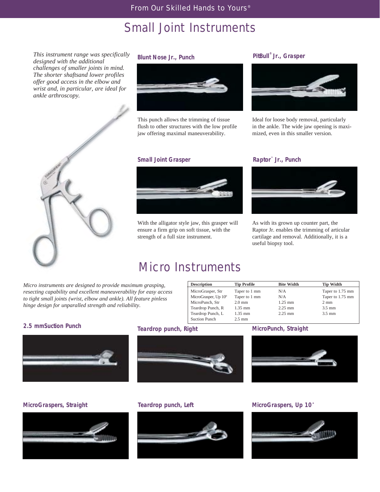## Small Joint Instruments

*This instrument range was specifically designed with the additional challenges of smaller joints in mind. The shorter shaftsand lower profiles offer good access in the elbow and wrist and, in particular, are ideal for ankle arthroscopy.*



#### **Blunt Nose Jr., Punch**



This punch allows the trimming of tissue flush to other structures with the low profile jaw offering maximal maneuverability.

#### **Small Joint Grasper**

## **PitBull® Jr., Grasper**



Ideal for loose body removal, particularly in the ankle. The wide jaw opening is maximized, even in this smaller version.

#### **Raptor™ Jr., Punch**



As with its grown up counter part, the Raptor Jr. enables the trimming of articular cartilage and removal. Additionally, it is a useful biopsy tool.

> **Tip Width** Taper to 1.75 mm Taper to 1.75 mm

2 mm 3.5 mm 3.5 mm

## Micro Instruments

With the alligator style jaw, this grasper will ensure a firm grip on soft tissue, with the strength of a full size instrument.

*Micro instruments are designed to provide maximum grasping, resecting capability and excellent maneuverability for easy access to tight small joints (wrist, elbow and ankle). All feature pinless hinge design for unparalled strength and reliability.*

#### **Description**  MicroGrasper, Str MicroGrasper, Up  $10^{\circ}$ MicroPunch, Str Teardrop Punch, R Teardrop Punch, L Suction Punch **Tip Profile**  Taper to 1 mm Taper to 1 mm 2.0 mm 1.35 mm 1.35 mm 2.5 mm **Bite Width** N/A N/A 1.25 mm 2.25 mm 2.25 mm





### **2.5 mmSuction Punch Teardrop punch, Right MicroPunch, Straight**





#### **MicroGraspers, Straight Teardrop punch, Left MicroGraspers, Up 10<sup>\*</sup>**



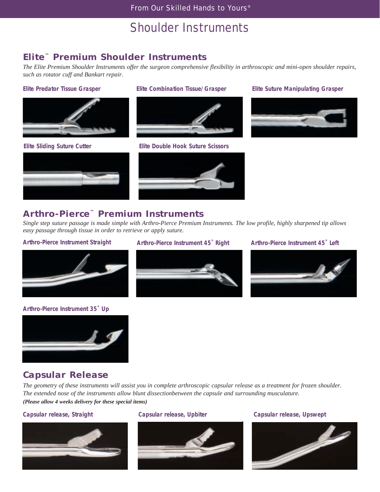# Shoulder Instruments

## **Elite™ Premium Shoulder Instruments**

*The Elite Premium Shoulder Instruments offer the surgeon comprehensive flexibility in arthroscopic and mini-open shoulder repairs, such as rotator cuff and Bankart repair.* 





### **Elite Predator Tissue Grasper Elite Combination Tissue/Grasper Elite Suture Manipulating Grasper**



**Elite Sliding Suture Cutter Elite Double Hook Suture Scissors**





## **Arthro-Pierce™ Premium Instruments**

*Single step suture passage is made simple with Arthro-Pierce Premium Instruments. The low profile, highly sharpened tip allows easy passage through tissue in order to retrieve or apply suture.*



#### **Arthro-Pierce Instrument 35˚ Up**



### **Arthro-Pierce Instrument Straight Arthro-Pierce Instrument 45˚ Right Arthro-Pierce Instrument 45˚ Left**





## **Capsular Release**

*The geometry of these instruments will assist you in complete arthroscopic capsular release as a treatment for frozen shoulder. The extended nose of the instruments allow blunt dissectionbetween the capsule and surrounding musculature. (Please allow 4 weeks delivery for these special items)*





### **Capsular release, Straight Capsular release, Upbiter Capsular release, Upswept**

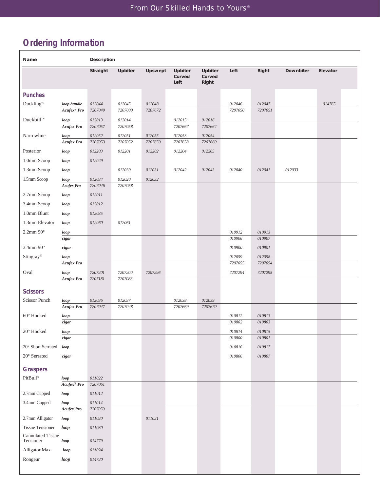## **Ordering Information**

r

| Name                                  |                         | <b>Description</b> |         |              |                           |                            |                  |                      |           |          |
|---------------------------------------|-------------------------|--------------------|---------|--------------|---------------------------|----------------------------|------------------|----------------------|-----------|----------|
|                                       |                         | Straight           | Upbiter | Upswept      | Upbiter<br>Curved<br>Left | Upbiter<br>Curved<br>Right | Left             | Right                | Downbiter | Elevator |
| <b>Punches</b>                        |                         |                    |         |              |                           |                            |                  |                      |           |          |
| Duckling™                             | loop handle             | 012044             | 012045  | 012048       |                           |                            | 012046           | 012047               |           | 014765   |
|                                       | Acufex <sup>®</sup> Pro | 7207049            | 7207000 | 7207672      |                           |                            | 7207050          | 7207051              |           |          |
| Duckbill™                             | loop                    | 012013             | 012014  |              | 012015                    | 012016                     |                  |                      |           |          |
|                                       | <b>Acufex Pro</b>       | 7207057            | 7207058 |              | 7207667                   | 7207664                    |                  |                      |           |          |
| Narrowline                            | loop                    | 012052             | 012051  | 012055       | 012053                    | 012054                     |                  |                      |           |          |
|                                       | <b>Acufex Pro</b>       | 7207053            | 7207052 | 7207659      | 7207658                   | 7207660                    |                  |                      |           |          |
| Posterior                             | loop                    | 012203             | 012201  | 012202       | 012204                    | 012205                     |                  |                      |           |          |
| 1.0mm Scoop                           | loop                    | 012029             |         |              |                           |                            |                  |                      |           |          |
| 1.3mm Scoop                           | loop                    |                    | 012030  | 012031       | 012042                    | 012043                     | 012040           | 012041               | 012033    |          |
| 1.5mm Scoop                           | loop                    | 012034             | 012020  | 012032       |                           |                            |                  |                      |           |          |
|                                       | <b>Acufex Pro</b>       | 7207046            | 7207058 |              |                           |                            |                  |                      |           |          |
| 2.7mm Scoop                           | loop                    | 012011             |         |              |                           |                            |                  |                      |           |          |
| 3.4mm Scoop                           | loop                    | 012012             |         |              |                           |                            |                  |                      |           |          |
| 1.0mm Blunt                           | loop                    | 012035             |         |              |                           |                            |                  |                      |           |          |
| 1.3mm Elevator                        | loop                    | 012060             | 012061  |              |                           |                            |                  |                      |           |          |
| $2.2$ mm $90^\circ$                   | loop                    |                    |         |              |                           |                            | 010912           | 010913               |           |          |
|                                       | cigar                   |                    |         |              |                           |                            | 010906           | 010907               |           |          |
| $3.4$ mm $90^\circ$                   | cigar                   |                    |         |              |                           |                            | 010900           | 010901               |           |          |
| Stingray®                             | loop                    |                    |         |              |                           |                            | 012059           | 012058               |           |          |
|                                       | <b>Acufex Pro</b>       |                    |         |              |                           |                            | 7207055          | 7207054              |           |          |
| Oval                                  | loop                    | 7207201            | 7207200 | 7207296      |                           |                            | 7207294          | 7207295              |           |          |
|                                       | <b>Acufex Pro</b>       | 7207181            | 7207083 |              |                           |                            |                  |                      |           |          |
| <b>Scissors</b>                       |                         |                    |         |              |                           |                            |                  |                      |           |          |
| Scissor Punch                         | loop                    | 012036             | 012037  |              | 012038                    | 012039                     |                  |                      |           |          |
|                                       | <b>Acufex Pro</b>       | 7207047            | 7207048 |              | 7207669                   | 7207670                    |                  |                      |           |          |
| 60° Hooked                            | loop                    |                    |         |              |                           |                            | 010812           | 010813               |           |          |
|                                       | cigar                   |                    |         |              |                           |                            | 010802           | 010803               |           |          |
| $20^{\circ}$ Hooked                   | loop<br>cigar           |                    |         |              |                           |                            | 010814<br>010800 | $010815\,$<br>010801 |           |          |
|                                       |                         |                    |         |              |                           |                            |                  |                      |           |          |
| 20° Short Serrated                    | loop                    |                    |         |              |                           |                            | 010816           | $\it 010817$         |           |          |
| $20^{\circ}$ Serrated                 | cigar                   |                    |         |              |                           |                            | 010806           | 010807               |           |          |
| <b>Graspers</b>                       |                         |                    |         |              |                           |                            |                  |                      |           |          |
| PitBull®                              | loop                    | 011022             |         |              |                           |                            |                  |                      |           |          |
|                                       | Acufex <sup>®</sup> Pro | 7207061            |         |              |                           |                            |                  |                      |           |          |
| 2.7mm Cupped                          | loop                    | 011012             |         |              |                           |                            |                  |                      |           |          |
| 3.4mm Cupped                          | loop                    | $\it 011014$       |         |              |                           |                            |                  |                      |           |          |
|                                       | <b>Acufex Pro</b>       | 7207059            |         |              |                           |                            |                  |                      |           |          |
| 2.7mm Alligator                       | loop                    | $\it 011020$       |         | $\it 011021$ |                           |                            |                  |                      |           |          |
| <b>Tissue Tensioner</b>               | loop                    | $\it 011030$       |         |              |                           |                            |                  |                      |           |          |
| <b>Cannulated Tissue</b><br>Tensioner | loop                    | 014779             |         |              |                           |                            |                  |                      |           |          |
| Alligator Max                         | loop                    | 011024             |         |              |                           |                            |                  |                      |           |          |
| Rongeur                               | loop                    | 014720             |         |              |                           |                            |                  |                      |           |          |
|                                       |                         |                    |         |              |                           |                            |                  |                      |           |          |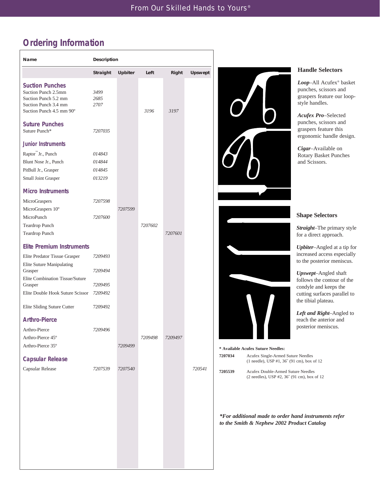<u> 1980 - Johann Barbara, martxa a</u>

# **Ordering Information**

| <b>Handle Selectors</b><br><b>Upbiter</b><br>Right<br><b>Upswept</b><br><b>Straight</b><br>Left<br><b>Suction Punches</b><br>Suction Punch 2.5mm<br>3499<br>Suction Punch 5.2 mm<br>2685<br>style handles.<br>Suction Punch 3.4 mm<br>2707<br>Suction Punch 4.5 mm 90°<br>3196<br>3197<br><b>Suture Punches</b><br>Suture Punch*<br>7207035<br><b>Junior Instruments</b><br>Raptor <sup>™</sup> Jr., Punch<br>014843<br>and Scissors.<br>Blunt Nose Jr., Punch<br>014844<br>PitBull Jr., Grasper<br>014845<br>Small Joint Grasper<br>013219<br><b>Micro Instruments</b><br>MicroGraspers<br>7207598<br>MicroGraspers 10°<br>7207599<br>MicroPunch<br>7207600<br>7207602<br>Teardrop Punch<br>7207601<br>Teardrop Punch<br><b>Elite Premium Instruments</b><br>7209493<br>Elite Predator Tissue Grasper<br><b>Elite Suture Manipulating</b><br>7209494<br>Grasper<br>Elite Combination Tissue/Suture<br>Grasper<br>7209495<br>Elite Double Hook Suture Scissor<br>7209492<br>Elite Sliding Suture Cutter<br>7209492<br><b>Arthro-Pierce</b><br>7209496<br>Arthro-Pierce<br>7209498<br>7209497<br>Arthro-Pierce 45°<br>Arthro-Pierce 35°<br>7209499<br>* Available Acufex Suture Needles:<br>7207034<br>Acufex Single-Armed Suture Needles<br><b>Capsular Release</b><br>(1 needle), USP #1, 36" (91 cm), box of 12<br>Capsular Release<br>7207539<br>7207540<br>720541<br>7205539<br>Acufex Double-Armed Suture Needles |  |  |  |                                                                                                                                                   |
|------------------------------------------------------------------------------------------------------------------------------------------------------------------------------------------------------------------------------------------------------------------------------------------------------------------------------------------------------------------------------------------------------------------------------------------------------------------------------------------------------------------------------------------------------------------------------------------------------------------------------------------------------------------------------------------------------------------------------------------------------------------------------------------------------------------------------------------------------------------------------------------------------------------------------------------------------------------------------------------------------------------------------------------------------------------------------------------------------------------------------------------------------------------------------------------------------------------------------------------------------------------------------------------------------------------------------------------------------------------------------------------------------------------------|--|--|--|---------------------------------------------------------------------------------------------------------------------------------------------------|
| Acufex Pro-Selected                                                                                                                                                                                                                                                                                                                                                                                                                                                                                                                                                                                                                                                                                                                                                                                                                                                                                                                                                                                                                                                                                                                                                                                                                                                                                                                                                                                                    |  |  |  |                                                                                                                                                   |
| ergonomic handle design.<br>Cigar-Available on<br>Rotary Basket Punches<br><b>Shape Selectors</b><br>Straight-The primary style<br>Upbiter-Angled at a tip for<br>Upswept-Angled shaft<br>cutting surfaces parallel to<br>the tibial plateau.<br>Left and Right-Angled to<br>reach the anterior and                                                                                                                                                                                                                                                                                                                                                                                                                                                                                                                                                                                                                                                                                                                                                                                                                                                                                                                                                                                                                                                                                                                    |  |  |  | Loop-All Acufex® basket<br>punches, scissors and<br>graspers feature our loop-                                                                    |
|                                                                                                                                                                                                                                                                                                                                                                                                                                                                                                                                                                                                                                                                                                                                                                                                                                                                                                                                                                                                                                                                                                                                                                                                                                                                                                                                                                                                                        |  |  |  | punches, scissors and<br>graspers feature this                                                                                                    |
|                                                                                                                                                                                                                                                                                                                                                                                                                                                                                                                                                                                                                                                                                                                                                                                                                                                                                                                                                                                                                                                                                                                                                                                                                                                                                                                                                                                                                        |  |  |  |                                                                                                                                                   |
|                                                                                                                                                                                                                                                                                                                                                                                                                                                                                                                                                                                                                                                                                                                                                                                                                                                                                                                                                                                                                                                                                                                                                                                                                                                                                                                                                                                                                        |  |  |  |                                                                                                                                                   |
|                                                                                                                                                                                                                                                                                                                                                                                                                                                                                                                                                                                                                                                                                                                                                                                                                                                                                                                                                                                                                                                                                                                                                                                                                                                                                                                                                                                                                        |  |  |  |                                                                                                                                                   |
|                                                                                                                                                                                                                                                                                                                                                                                                                                                                                                                                                                                                                                                                                                                                                                                                                                                                                                                                                                                                                                                                                                                                                                                                                                                                                                                                                                                                                        |  |  |  |                                                                                                                                                   |
|                                                                                                                                                                                                                                                                                                                                                                                                                                                                                                                                                                                                                                                                                                                                                                                                                                                                                                                                                                                                                                                                                                                                                                                                                                                                                                                                                                                                                        |  |  |  |                                                                                                                                                   |
|                                                                                                                                                                                                                                                                                                                                                                                                                                                                                                                                                                                                                                                                                                                                                                                                                                                                                                                                                                                                                                                                                                                                                                                                                                                                                                                                                                                                                        |  |  |  |                                                                                                                                                   |
|                                                                                                                                                                                                                                                                                                                                                                                                                                                                                                                                                                                                                                                                                                                                                                                                                                                                                                                                                                                                                                                                                                                                                                                                                                                                                                                                                                                                                        |  |  |  |                                                                                                                                                   |
|                                                                                                                                                                                                                                                                                                                                                                                                                                                                                                                                                                                                                                                                                                                                                                                                                                                                                                                                                                                                                                                                                                                                                                                                                                                                                                                                                                                                                        |  |  |  |                                                                                                                                                   |
|                                                                                                                                                                                                                                                                                                                                                                                                                                                                                                                                                                                                                                                                                                                                                                                                                                                                                                                                                                                                                                                                                                                                                                                                                                                                                                                                                                                                                        |  |  |  |                                                                                                                                                   |
|                                                                                                                                                                                                                                                                                                                                                                                                                                                                                                                                                                                                                                                                                                                                                                                                                                                                                                                                                                                                                                                                                                                                                                                                                                                                                                                                                                                                                        |  |  |  |                                                                                                                                                   |
|                                                                                                                                                                                                                                                                                                                                                                                                                                                                                                                                                                                                                                                                                                                                                                                                                                                                                                                                                                                                                                                                                                                                                                                                                                                                                                                                                                                                                        |  |  |  | for a direct approach.                                                                                                                            |
|                                                                                                                                                                                                                                                                                                                                                                                                                                                                                                                                                                                                                                                                                                                                                                                                                                                                                                                                                                                                                                                                                                                                                                                                                                                                                                                                                                                                                        |  |  |  |                                                                                                                                                   |
|                                                                                                                                                                                                                                                                                                                                                                                                                                                                                                                                                                                                                                                                                                                                                                                                                                                                                                                                                                                                                                                                                                                                                                                                                                                                                                                                                                                                                        |  |  |  | increased access especially<br>to the posterior meniscus.                                                                                         |
|                                                                                                                                                                                                                                                                                                                                                                                                                                                                                                                                                                                                                                                                                                                                                                                                                                                                                                                                                                                                                                                                                                                                                                                                                                                                                                                                                                                                                        |  |  |  |                                                                                                                                                   |
|                                                                                                                                                                                                                                                                                                                                                                                                                                                                                                                                                                                                                                                                                                                                                                                                                                                                                                                                                                                                                                                                                                                                                                                                                                                                                                                                                                                                                        |  |  |  | follows the contour of the                                                                                                                        |
|                                                                                                                                                                                                                                                                                                                                                                                                                                                                                                                                                                                                                                                                                                                                                                                                                                                                                                                                                                                                                                                                                                                                                                                                                                                                                                                                                                                                                        |  |  |  | condyle and keeps the                                                                                                                             |
|                                                                                                                                                                                                                                                                                                                                                                                                                                                                                                                                                                                                                                                                                                                                                                                                                                                                                                                                                                                                                                                                                                                                                                                                                                                                                                                                                                                                                        |  |  |  |                                                                                                                                                   |
|                                                                                                                                                                                                                                                                                                                                                                                                                                                                                                                                                                                                                                                                                                                                                                                                                                                                                                                                                                                                                                                                                                                                                                                                                                                                                                                                                                                                                        |  |  |  |                                                                                                                                                   |
|                                                                                                                                                                                                                                                                                                                                                                                                                                                                                                                                                                                                                                                                                                                                                                                                                                                                                                                                                                                                                                                                                                                                                                                                                                                                                                                                                                                                                        |  |  |  |                                                                                                                                                   |
|                                                                                                                                                                                                                                                                                                                                                                                                                                                                                                                                                                                                                                                                                                                                                                                                                                                                                                                                                                                                                                                                                                                                                                                                                                                                                                                                                                                                                        |  |  |  | posterior meniscus.                                                                                                                               |
|                                                                                                                                                                                                                                                                                                                                                                                                                                                                                                                                                                                                                                                                                                                                                                                                                                                                                                                                                                                                                                                                                                                                                                                                                                                                                                                                                                                                                        |  |  |  |                                                                                                                                                   |
|                                                                                                                                                                                                                                                                                                                                                                                                                                                                                                                                                                                                                                                                                                                                                                                                                                                                                                                                                                                                                                                                                                                                                                                                                                                                                                                                                                                                                        |  |  |  |                                                                                                                                                   |
|                                                                                                                                                                                                                                                                                                                                                                                                                                                                                                                                                                                                                                                                                                                                                                                                                                                                                                                                                                                                                                                                                                                                                                                                                                                                                                                                                                                                                        |  |  |  |                                                                                                                                                   |
|                                                                                                                                                                                                                                                                                                                                                                                                                                                                                                                                                                                                                                                                                                                                                                                                                                                                                                                                                                                                                                                                                                                                                                                                                                                                                                                                                                                                                        |  |  |  |                                                                                                                                                   |
|                                                                                                                                                                                                                                                                                                                                                                                                                                                                                                                                                                                                                                                                                                                                                                                                                                                                                                                                                                                                                                                                                                                                                                                                                                                                                                                                                                                                                        |  |  |  |                                                                                                                                                   |
|                                                                                                                                                                                                                                                                                                                                                                                                                                                                                                                                                                                                                                                                                                                                                                                                                                                                                                                                                                                                                                                                                                                                                                                                                                                                                                                                                                                                                        |  |  |  |                                                                                                                                                   |
|                                                                                                                                                                                                                                                                                                                                                                                                                                                                                                                                                                                                                                                                                                                                                                                                                                                                                                                                                                                                                                                                                                                                                                                                                                                                                                                                                                                                                        |  |  |  | (2 needles), USP #2, 36" (91 cm), box of 12<br>*For additional made to order hand instruments refer<br>to the Smith & Nephew 2002 Product Catalog |